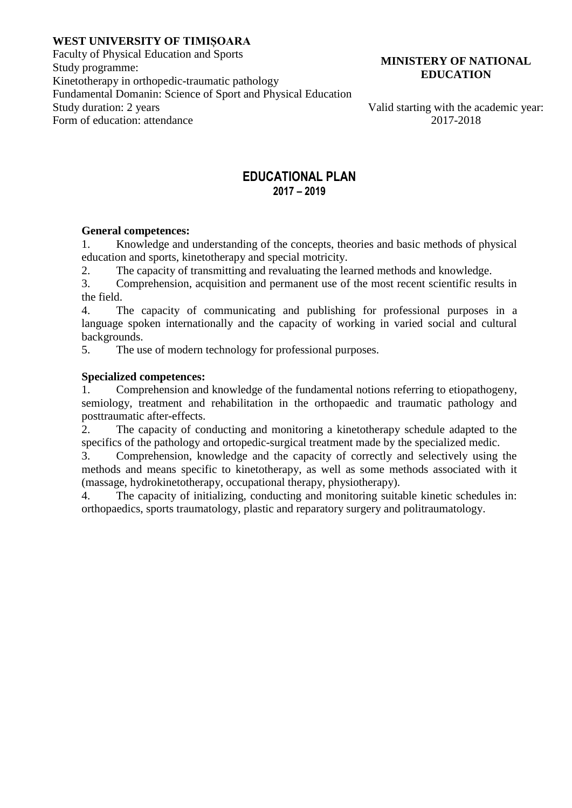### **WEST UNIVERSITY OF TIMIȘOARA**

Faculty of Physical Education and Sports Study programme: Kinetotherapy in orthopedic-traumatic pathology Fundamental Domanin: Science of Sport and Physical Education Form of education: attendance 2017-2018

## **MINISTERY OF NATIONAL EDUCATION**

Valid starting with the academic year:

# **EDUCATIONAL PLAN 2017 – 2019**

#### **General competences:**

1. Knowledge and understanding of the concepts, theories and basic methods of physical education and sports, kinetotherapy and special motricity.

2. The capacity of transmitting and revaluating the learned methods and knowledge.

3. Comprehension, acquisition and permanent use of the most recent scientific results in the field.

4. The capacity of communicating and publishing for professional purposes in a language spoken internationally and the capacity of working in varied social and cultural backgrounds.

5. The use of modern technology for professional purposes.

#### **Specialized competences:**

1. Comprehension and knowledge of the fundamental notions referring to etiopathogeny, semiology, treatment and rehabilitation in the orthopaedic and traumatic pathology and posttraumatic after-effects.

2. The capacity of conducting and monitoring a kinetotherapy schedule adapted to the specifics of the pathology and ortopedic-surgical treatment made by the specialized medic.

3. Comprehension, knowledge and the capacity of correctly and selectively using the methods and means specific to kinetotherapy, as well as some methods associated with it (massage, hydrokinetotherapy, occupational therapy, physiotherapy).

4. The capacity of initializing, conducting and monitoring suitable kinetic schedules in: orthopaedics, sports traumatology, plastic and reparatory surgery and politraumatology.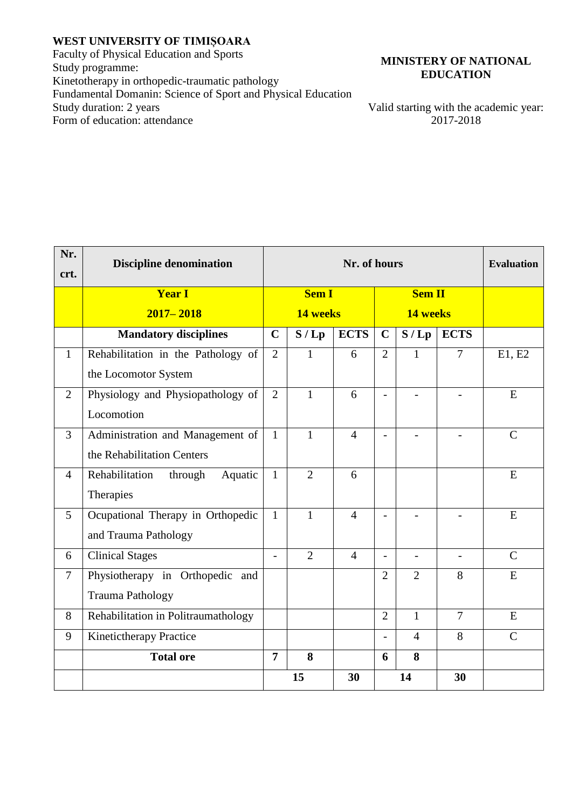## **WEST UNIVERSITY OF TIMIȘOARA**

Faculty of Physical Education and Sports Study programme: Kinetotherapy in orthopedic-traumatic pathology Fundamental Domanin: Science of Sport and Physical Education Study duration: 2 years<br>Form of education: attendance

## **MINISTERY OF NATIONAL EDUCATION**

Valid starting with the academic year:<br>2017-2018

| Nr.<br>crt.    | <b>Discipline denomination</b>       |                          | <b>Evaluation</b> |                |                          |                           |                          |               |
|----------------|--------------------------------------|--------------------------|-------------------|----------------|--------------------------|---------------------------|--------------------------|---------------|
|                | <b>Year I</b><br>$2017 - 2018$       | <b>Sem I</b><br>14 weeks |                   |                |                          | <b>Sem II</b><br>14 weeks |                          |               |
|                | <b>Mandatory disciplines</b>         | $\mathbf C$              | S/Lp              | <b>ECTS</b>    | $\mathbf C$              | S/Lp                      | <b>ECTS</b>              |               |
| $\mathbf{1}$   | Rehabilitation in the Pathology of   | 2                        | 1                 | 6              | $\overline{2}$           | 1                         | 7                        | E1, E2        |
|                | the Locomotor System                 |                          |                   |                |                          |                           |                          |               |
| $\overline{2}$ | Physiology and Physiopathology of    | $\overline{2}$           | $\mathbf{1}$      | 6              | $\overline{a}$           |                           |                          | E             |
|                | Locomotion                           |                          |                   |                |                          |                           |                          |               |
| $\overline{3}$ | Administration and Management of     | $\mathbf{1}$             | $\mathbf{1}$      | $\overline{4}$ |                          |                           |                          | $\mathcal{C}$ |
|                | the Rehabilitation Centers           |                          |                   |                |                          |                           |                          |               |
| $\overline{4}$ | Rehabilitation<br>through<br>Aquatic | $\mathbf{1}$             | $\overline{2}$    | 6              |                          |                           |                          | E             |
|                | Therapies                            |                          |                   |                |                          |                           |                          |               |
| 5              | Ocupational Therapy in Orthopedic    | $\mathbf{1}$             | $\mathbf{1}$      | $\overline{4}$ | $\overline{a}$           |                           |                          | ${\bf E}$     |
|                | and Trauma Pathology                 |                          |                   |                |                          |                           |                          |               |
| 6              | <b>Clinical Stages</b>               | $\overline{\phantom{0}}$ | $\overline{2}$    | $\overline{4}$ | $\overline{\phantom{a}}$ | $\overline{\phantom{a}}$  | $\overline{\phantom{a}}$ | $\mathbf C$   |
| $\tau$         | Physiotherapy in Orthopedic and      |                          |                   |                | $\overline{2}$           | $\overline{2}$            | 8                        | E             |
|                | <b>Trauma Pathology</b>              |                          |                   |                |                          |                           |                          |               |
| 8              | Rehabilitation in Politraumathology  |                          |                   |                | $\overline{2}$           | $\mathbf{1}$              | $\overline{7}$           | ${\bf E}$     |
| 9              | Kinetictherapy Practice              |                          |                   |                | $\overline{\phantom{a}}$ | $\overline{4}$            | 8                        | $\mathcal{C}$ |
|                | <b>Total ore</b>                     | $\overline{7}$           | 8                 |                | 6                        | 8                         |                          |               |
|                |                                      | 15                       |                   | 30             | 14                       |                           | 30                       |               |